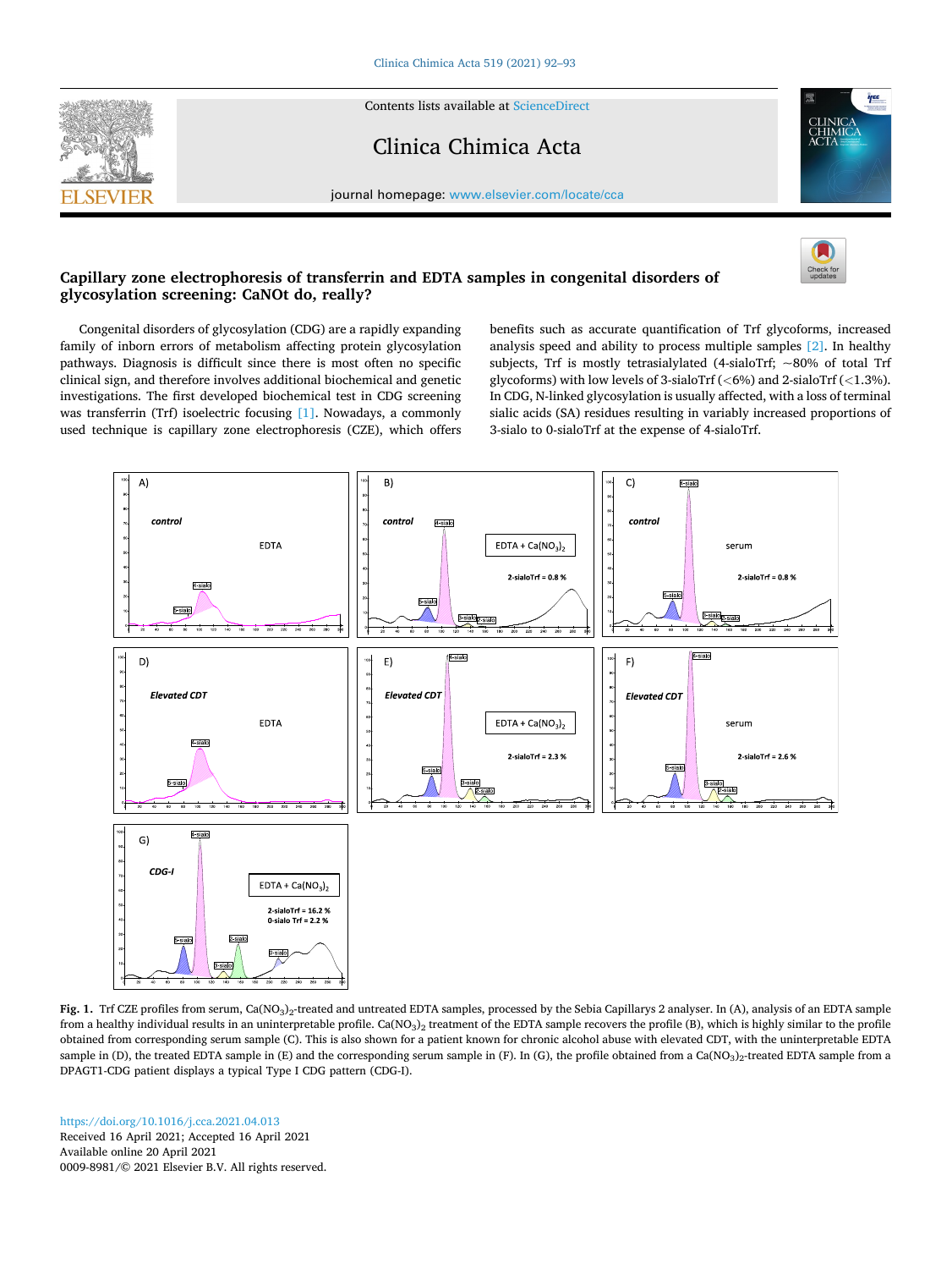<span id="page-0-0"></span>

Contents lists available at [ScienceDirect](www.sciencedirect.com/science/journal/00098981)

## Clinica Chimica Acta



journal homepage: [www.elsevier.com/locate/cca](https://www.elsevier.com/locate/cca) 

## **Capillary zone electrophoresis of transferrin and EDTA samples in congenital disorders of glycosylation screening: CaNOt do, really?**

Congenital disorders of glycosylation (CDG) are a rapidly expanding family of inborn errors of metabolism affecting protein glycosylation pathways. Diagnosis is difficult since there is most often no specific clinical sign, and therefore involves additional biochemical and genetic investigations. The first developed biochemical test in CDG screening was transferrin (Trf) isoelectric focusing [\[1\]](#page-1-0). Nowadays, a commonly used technique is capillary zone electrophoresis (CZE), which offers benefits such as accurate quantification of Trf glycoforms, increased analysis speed and ability to process multiple samples [\[2\].](#page-1-0) In healthy subjects, Trf is mostly tetrasialylated (4-sialoTrf;  $\sim$ 80% of total Trf glycoforms) with low levels of 3-sialoTrf (*<*6%) and 2-sialoTrf (*<*1.3%). In CDG, N-linked glycosylation is usually affected, with a loss of terminal sialic acids (SA) residues resulting in variably increased proportions of 3-sialo to 0-sialoTrf at the expense of 4-sialoTrf.



Fig. 1. Trf CZE profiles from serum, Ca(NO<sub>3</sub>)<sub>2</sub>-treated and untreated EDTA samples, processed by the Sebia Capillarys 2 analyser. In (A), analysis of an EDTA sample from a healthy individual results in an uninterpretable profile. Ca(NO<sub>3</sub>)<sub>2</sub> treatment of the EDTA sample recovers the profile (B), which is highly similar to the profile obtained from corresponding serum sample (C). This is also shown for a patient known for chronic alcohol abuse with elevated CDT, with the uninterpretable EDTA sample in (D), the treated EDTA sample in (E) and the corresponding serum sample in (F). In (G), the profile obtained from a Ca(NO3)<sub>2</sub>-treated EDTA sample from a DPAGT1-CDG patient displays a typical Type I CDG pattern (CDG-I).